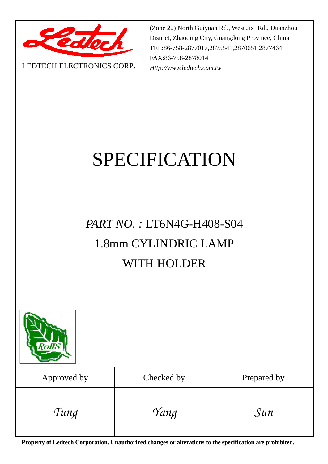

LEDTECH ELECTRONICS CORP**.**

(Zone 22) North Guiyuan Rd., West Jixi Rd., Duanzhou District, Zhaoqing City, Guangdong Province, China TEL:86-758-2877017,2875541,2870651,2877464 FAX:86-758-2878014 *Http://www.ledtech.com.tw*

# SPECIFICATION

# *PART NO. :* LT6N4G-H408-S04 1.8mm CYLINDRIC LAMP WITH HOLDER



| Approved by | Checked by | Prepared by |
|-------------|------------|-------------|
| Tung        | Yang       | $S$ un      |

**Property of Ledtech Corporation. Unauthorized changes or alterations to the specification are prohibited.**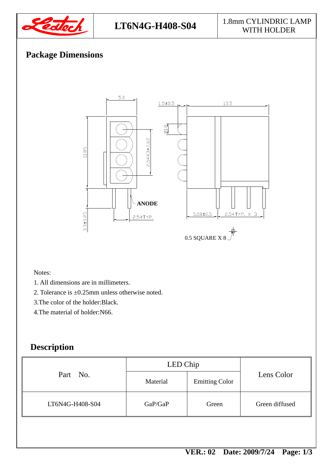

#### LT6N4G-H408-S04 <sup>1.8mm</sup> CYLINDRIC LAMP WITH HOLDER

## **Package Dimensions**



#### Notes:

- 1. All dimensions are in millimeters.
- 2. Tolerance is ±0.25mm unless otherwise noted.
- 3.The color of the holder:Black.
- 4.The material of holder:N66.

### **Description**

| Part No.        | LED Chip |                       |                |  |
|-----------------|----------|-----------------------|----------------|--|
|                 | Material | <b>Emitting Color</b> | Lens Color     |  |
| LT6N4G-H408-S04 | GaP/GaP  | Green                 | Green diffused |  |
|                 |          |                       |                |  |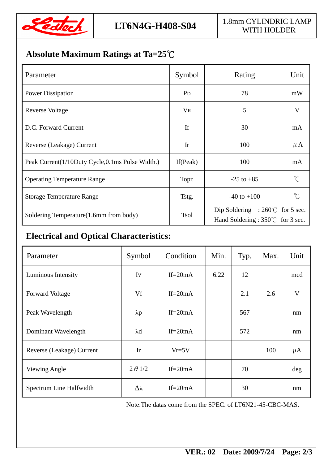

#### LT6N4G-H408-S04 <sup>1.8mm</sup> CYLINDRIC LAMP WITH HOLDER

# **Absolute Maximum Ratings at Ta=25**℃

| Parameter                                       | Symbol         | Rating                                                                        | Unit        |
|-------------------------------------------------|----------------|-------------------------------------------------------------------------------|-------------|
| <b>Power Dissipation</b>                        | P <sub>D</sub> | 78                                                                            | mW          |
| <b>Reverse Voltage</b>                          | <b>VR</b>      | 5                                                                             | V           |
| D.C. Forward Current                            | If             | 30                                                                            | mA          |
| Reverse (Leakage) Current                       | Ir             | 100                                                                           | $\mu$ A     |
| Peak Current(1/10Duty Cycle,0.1ms Pulse Width.) | If $(Peak)$    | 100                                                                           | mA          |
| <b>Operating Temperature Range</b>              | Topr.          | $-25$ to $+85$                                                                | $\hat{C}$   |
| <b>Storage Temperature Range</b>                | Tstg.          | $-40$ to $+100$                                                               | $^{\circ}C$ |
| Soldering Temperature(1.6mm from body)          | <b>Tsol</b>    | Dip Soldering : $260^{\circ}$ for 5 sec.<br>Hand Soldering : 350°C for 3 sec. |             |

# **Electrical and Optical Characteristics:**

| Parameter                 | Symbol          | Condition  | Min. | Typ. | Max. | Unit    |
|---------------------------|-----------------|------------|------|------|------|---------|
| Luminous Intensity        | Iv              | If= $20mA$ | 6.22 | 12   |      | mcd     |
| <b>Forward Voltage</b>    | Vf              | If= $20mA$ |      | 2.1  | 2.6  | V       |
| Peak Wavelength           | $\lambda p$     | If= $20mA$ |      | 567  |      | nm      |
| Dominant Wavelength       | $\lambda$ d     | If= $20mA$ |      | 572  |      | nm      |
| Reverse (Leakage) Current | Ir              | $Vr=5V$    |      |      | 100  | $\mu$ A |
| Viewing Angle             | $2 \theta$ 1/2  | If= $20mA$ |      | 70   |      | deg     |
| Spectrum Line Halfwidth   | $\Delta\lambda$ | If= $20mA$ |      | 30   |      | nm      |

Note:The datas come from the SPEC. of LT6N21-45-CBC-MAS.